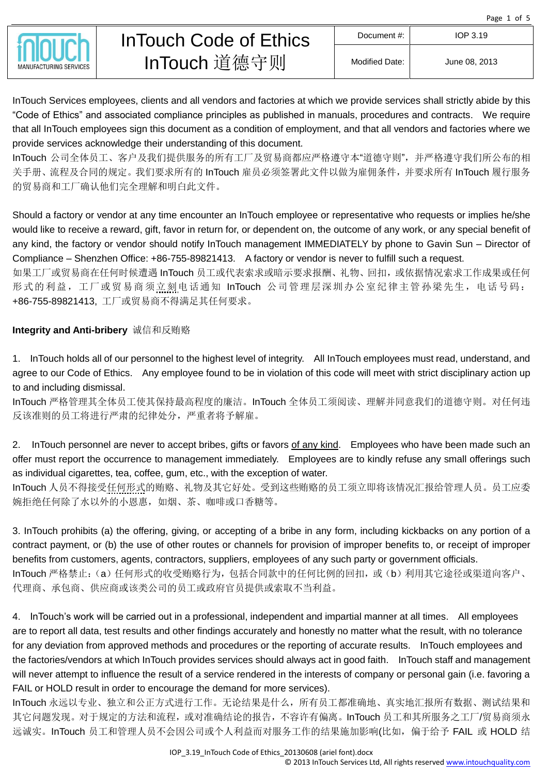Page 1 of 5



InTouch Services employees, clients and all vendors and factories at which we provide services shall strictly abide by this "Code of Ethics" and associated compliance principles as published in manuals, procedures and contracts. We require that all InTouch employees sign this document as a condition of employment, and that all vendors and factories where we provide services acknowledge their understanding of this document.

InTouch 公司全体员工、客户及我们提供服务的所有工厂及贸易商都应严格遵守本"道德守则",并严格遵守我们所公布的相 关手册、流程及合同的规定。我们要求所有的 InTouch 雇员必须签署此文件以做为雇佣条件,并要求所有 InTouch 履行服务 的贸易商和工厂确认他们完全理解和明白此文件。

Should a factory or vendor at any time encounter an InTouch employee or representative who requests or implies he/she would like to receive a reward, gift, favor in return for, or dependent on, the outcome of any work, or any special benefit of any kind, the factory or vendor should notify InTouch management IMMEDIATELY by phone to Gavin Sun – Director of Compliance – Shenzhen Office: +86-755-89821413. A factory or vendor is never to fulfill such a request.

如果工厂或贸易商在任何时候遭遇 InTouch 员工或代表索求或暗示要求报酬、礼物、回扣,或依据情况索求工作成果或任何 形式的利益,工厂或贸易商须立刻电话通知 InTouch 公司管理层深圳办公室纪律主管孙梁先生,电话号码: +86-755-89821413, 工厂或贸易商不得满足其任何要求。

## **Integrity and Anti-bribery** 诚信和反贿赂

1. InTouch holds all of our personnel to the highest level of integrity. All InTouch employees must read, understand, and agree to our Code of Ethics. Any employee found to be in violation of this code will meet with strict disciplinary action up to and including dismissal.

InTouch 严格管理其全体员工使其保持最高程度的廉洁。InTouch 全体员工须阅读、理解并同意我们的道德守则。对任何违 反该准则的员工将进行严肃的纪律处分,严重者将予解雇。

2. InTouch personnel are never to accept bribes, gifts or favors of any kind. Employees who have been made such an offer must report the occurrence to management immediately. Employees are to kindly refuse any small offerings such as individual cigarettes, tea, coffee, gum, etc., with the exception of water.

InTouch 人员不得接受任何形式的贿赂、礼物及其它好处。受到这些贿赂的员工须立即将该情况汇报给管理人员。员工应委 婉拒绝任何除了水以外的小恩惠,如烟、茶、咖啡或口香糖等。

3. InTouch prohibits (a) the offering, giving, or accepting of a bribe in any form, including kickbacks on any portion of a contract payment, or (b) the use of other routes or channels for provision of improper benefits to, or receipt of improper benefits from customers, agents, contractors, suppliers, employees of any such party or government officials. InTouch 严格禁止:(a)任何形式的收受贿赂行为,包括合同款中的任何比例的回扣,或(b)利用其它途径或渠道向客户、 代理商、承包商、供应商或该类公司的员工或政府官员提供或索取不当利益。

4. InTouch's work will be carried out in a professional, independent and impartial manner at all times. All employees are to report all data, test results and other findings accurately and honestly no matter what the result, with no tolerance for any deviation from approved methods and procedures or the reporting of accurate results. InTouch employees and the factories/vendors at which InTouch provides services should always act in good faith. InTouch staff and management will never attempt to influence the result of a service rendered in the interests of company or personal gain (i.e. favoring a FAIL or HOLD result in order to encourage the demand for more services).

InTouch 永远以专业、独立和公正方式进行工作。无论结果是什么,所有员工都准确地、真实地汇报所有数据、测试结果和 其它问题发现。对于规定的方法和流程,或对准确结论的报告,不容许有偏离。InTouch 员工和其所服务之工厂/贸易商须永 远诚实。InTouch 员工和管理人员不会因公司或个人利益而对服务工作的结果施加影响(比如, 偏于给予 FAIL 或 HOLD 结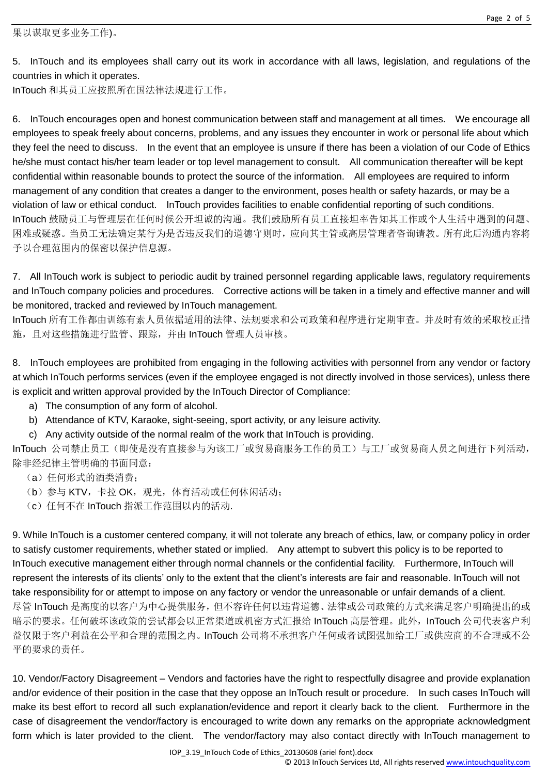5. InTouch and its employees shall carry out its work in accordance with all laws, legislation, and regulations of the countries in which it operates.

InTouch 和其员工应按照所在国法律法规进行工作。

6. InTouch encourages open and honest communication between staff and management at all times. We encourage all employees to speak freely about concerns, problems, and any issues they encounter in work or personal life about which they feel the need to discuss. In the event that an employee is unsure if there has been a violation of our Code of Ethics he/she must contact his/her team leader or top level management to consult. All communication thereafter will be kept confidential within reasonable bounds to protect the source of the information. All employees are required to inform management of any condition that creates a danger to the environment, poses health or safety hazards, or may be a violation of law or ethical conduct. InTouch provides facilities to enable confidential reporting of such conditions. InTouch 鼓励员工与管理层在任何时候公开坦诚的沟通。我们鼓励所有员工直接坦率告知其工作或个人生活中遇到的问题、 困难或疑惑。当员工无法确定某行为是否违反我们的道德守则时,应向其主管或高层管理者咨询请教。所有此后沟通内容将 予以合理范围内的保密以保护信息源。

7. All InTouch work is subject to periodic audit by trained personnel regarding applicable laws, regulatory requirements and InTouch company policies and procedures. Corrective actions will be taken in a timely and effective manner and will be monitored, tracked and reviewed by InTouch management.

InTouch 所有工作都由训练有素人员依据适用的法律、法规要求和公司政策和程序进行定期审查。并及时有效的采取校正措 施,且对这些措施进行监管、跟踪,并由 InTouch 管理人员审核。

8. InTouch employees are prohibited from engaging in the following activities with personnel from any vendor or factory at which InTouch performs services (even if the employee engaged is not directly involved in those services), unless there is explicit and written approval provided by the InTouch Director of Compliance:

- a) The consumption of any form of alcohol.
- b) Attendance of KTV, Karaoke, sight-seeing, sport activity, or any leisure activity.

c) Any activity outside of the normal realm of the work that InTouch is providing.

InTouch 公司禁止员工(即使是没有直接参与为该工厂或贸易商服务工作的员工)与工厂或贸易商人员之间进行下列活动, 除非经纪律主管明确的书面同意:

- (a) 任何形式的酒类消费;
- (b) 参与 KTV, 卡拉 OK, 观光, 体育活动或任何休闲活动;
- (c) 任何不在 InTouch 指派工作范围以内的活动.

9. While InTouch is a customer centered company, it will not tolerate any breach of ethics, law, or company policy in order to satisfy customer requirements, whether stated or implied. Any attempt to subvert this policy is to be reported to InTouch executive management either through normal channels or the confidential facility. Furthermore, InTouch will represent the interests of its clients' only to the extent that the client's interests are fair and reasonable. InTouch will not take responsibility for or attempt to impose on any factory or vendor the unreasonable or unfair demands of a client. 尽管 InTouch 是高度的以客户为中心提供服务,但不容许任何以违背道德、法律或公司政策的方式来满足客户明确提出的或 暗示的要求。任何破坏该政策的尝试都会以正常渠道或机密方式汇报给 InTouch 高层管理。此外, InTouch 公司代表客户利 益仅限于客户利益在公平和合理的范围之内。InTouch 公司将不承担客户任何或者试图强加给工厂或供应商的不合理或不公 平的要求的责任。

10. Vendor/Factory Disagreement – Vendors and factories have the right to respectfully disagree and provide explanation and/or evidence of their position in the case that they oppose an InTouch result or procedure. In such cases InTouch will make its best effort to record all such explanation/evidence and report it clearly back to the client. Furthermore in the case of disagreement the vendor/factory is encouraged to write down any remarks on the appropriate acknowledgment form which is later provided to the client. The vendor/factory may also contact directly with InTouch management to

IOP\_3.19\_InTouch Code of Ethics\_20130608 (ariel font).docx

© 2013 InTouch Services Ltd, All rights reserved www.intouchquality.com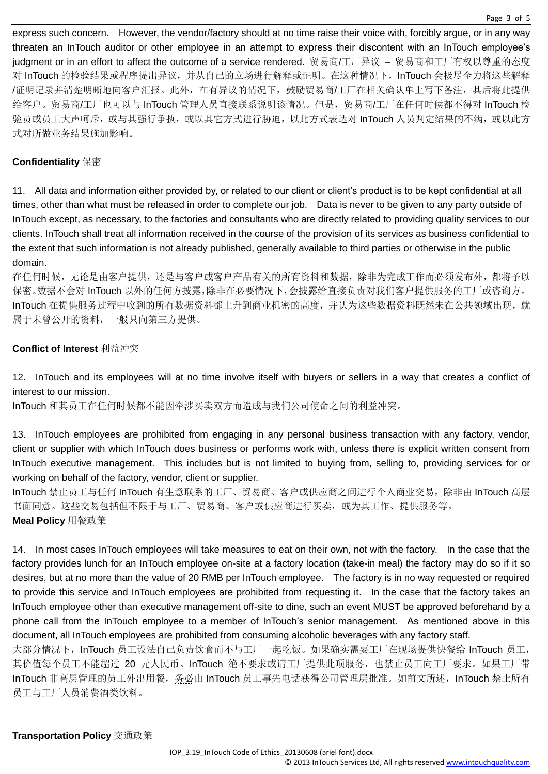express such concern. However, the vendor/factory should at no time raise their voice with, forcibly argue, or in any way threaten an InTouch auditor or other employee in an attempt to express their discontent with an InTouch employee's judgment or in an effort to affect the outcome of a service rendered. 贸易商/工厂异议 – 贸易商和工厂有权以尊重的态度 对 InTouch 的检验结果或程序提出异议,并从自己的立场进行解释或证明。在这种情况下, InTouch 会极尽全力将这些解释 /证明记录并清楚明晰地向客户汇报。此外,在有异议的情况下,鼓励贸易商/工厂在相关确认单上写下备注,其后将此提供 给客户。贸易商/工厂也可以与 InTouch 管理人员直接联系说明该情况。但是,贸易商/工厂在任何时候都不得对 InTouch 检 验员或员工大声呵斥,或与其强行争执,或以其它方式进行胁迫,以此方式表达对 InTouch 人员判定结果的不满,或以此方 式对所做业务结果施加影响。

## **Confidentiality** 保密

11. All data and information either provided by, or related to our client or client's product is to be kept confidential at all times, other than what must be released in order to complete our job. Data is never to be given to any party outside of InTouch except, as necessary, to the factories and consultants who are directly related to providing quality services to our clients. InTouch shall treat all information received in the course of the provision of its services as business confidential to the extent that such information is not already published, generally available to third parties or otherwise in the public domain.

在任何时候,无论是由客户提供,还是与客户或客户产品有关的所有资料和数据,除非为完成工作而必须发布外,都将予以 保密。数据不会对 InTouch 以外的任何方披露,除非在必要情况下,会披露给直接负责对我们客户提供服务的工厂或咨询方。 InTouch 在提供服务过程中收到的所有数据资料都上升到商业机密的高度,并认为这些数据资料既然未在公共领域出现,就 属于未曾公开的资料,一般只向第三方提供。

## **Conflict of Interest** 利益冲突

12. InTouch and its employees will at no time involve itself with buyers or sellers in a way that creates a conflict of interest to our mission.

InTouch 和其员工在任何时候都不能因牵涉买卖双方而造成与我们公司使命之间的利益冲突。

13. InTouch employees are prohibited from engaging in any personal business transaction with any factory, vendor, client or supplier with which InTouch does business or performs work with, unless there is explicit written consent from InTouch executive management. This includes but is not limited to buying from, selling to, providing services for or working on behalf of the factory, vendor, client or supplier.

InTouch 禁止员工与任何 InTouch 有生意联系的工厂、贸易商、客户或供应商之间进行个人商业交易,除非由 InTouch 高层 书面同意。这些交易包括但不限于与工厂、贸易商、客户或供应商进行买卖, 或为其工作、提供服务等。 **Meal Policy** 用餐政策

14. In most cases InTouch employees will take measures to eat on their own, not with the factory. In the case that the factory provides lunch for an InTouch employee on-site at a factory location (take-in meal) the factory may do so if it so desires, but at no more than the value of 20 RMB per InTouch employee. The factory is in no way requested or required to provide this service and InTouch employees are prohibited from requesting it. In the case that the factory takes an InTouch employee other than executive management off-site to dine, such an event MUST be approved beforehand by a phone call from the InTouch employee to a member of InTouch's senior management. As mentioned above in this document, all InTouch employees are prohibited from consuming alcoholic beverages with any factory staff.

大部分情况下,InTouch 员工设法自己负责饮食而不与工厂一起吃饭。如果确实需要工厂在现场提供快餐给InTouch 员工, 其价值每个员工不能超过 20 元人民币。InTouch 绝不要求或请工厂提供此项服务, 也禁止员工向工厂要求。如果工厂带 InTouch 非高层管理的员工外出用餐, 务必由 InTouch 员工事先电话获得公司管理层批准。如前文所述, InTouch 禁止所有 员工与工厂人员消费酒类饮料。